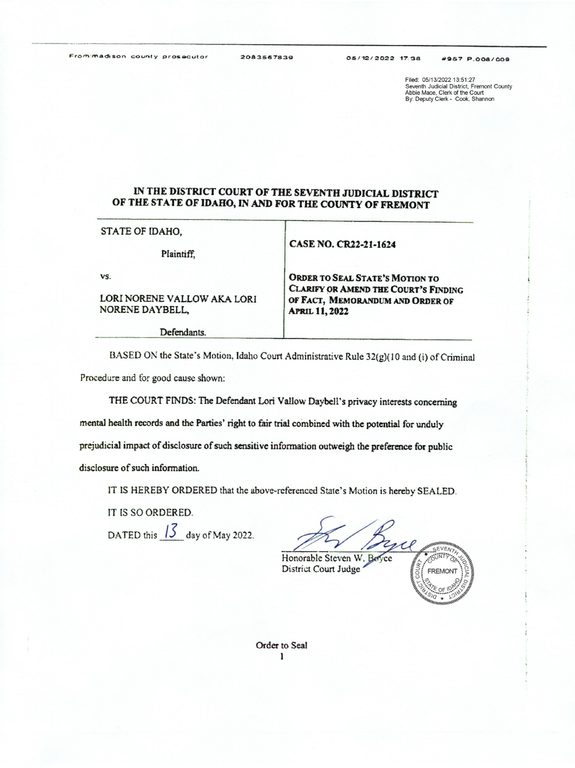Filed: 05/13/2022 13:51:27 Seventh Judicial District, Fremont County<br>Abbie Mace, Clerk of the Court<br>By: Deputy Clerk - Cook, Shannon

## IN THE DISTRICT COURT OF THE SEVENTH JUDICIAL DISTRICT OF THE STATE OF IDAHO, IN AND FOR THE COUNTY OF FREMONT

STATE OF IDAHO,

Plaintiff,

## CASE NO. CR22-21-1624

VS.

## LORI NORENE VALLOW AKA LORI NORENE DAYBELL,

Defendants.

ORDER TO SEAL STATE'S MOTION TO<br>CLARIFY OR AMEND THE COURT'S FINDING<br>OF FACT, MEMORANDUM AND ORDER OF<br>APRIL 11, 2022

BASED ON the State's Motion, Idaho Court Administrative Rule 32(g)(10 and (i) of Criminal Procedure and for good cause shown:

THE COURT FINDS: The Defendant Lori Valiow Dayhell's privacy interests concerning

mental health records and the Parties' right to fair trial combined with the potential for unduly

prejudicial impact of disclosure of such sensitive information outweigh the preference for public

disclosure of such information.

IT IS HEREBY ORDERED that the above-referenced State's Motion is hereby SEALED.

IT IS SO ORDERED.

DATED this  $\frac{13}{2}$  day of May 2022.<br>
Honorable Steven W. Beyce



Order to Seal